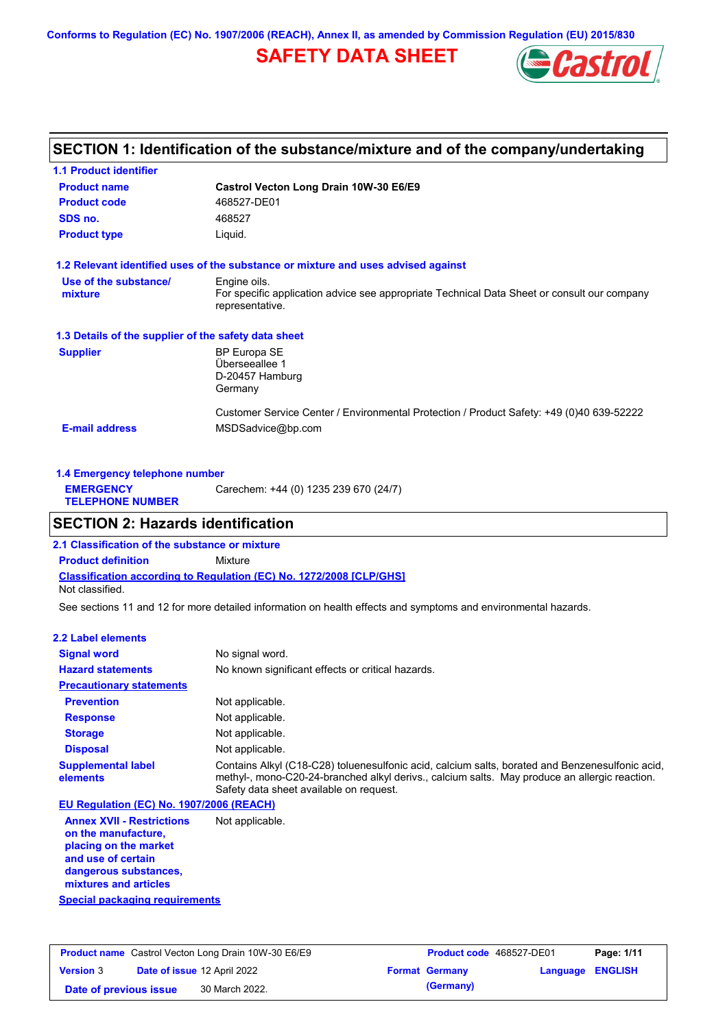**Conforms to Regulation (EC) No. 1907/2006 (REACH), Annex II, as amended by Commission Regulation (EU) 2015/830**

# **SAFETY DATA SHEET**



# **SECTION 1: Identification of the substance/mixture and of the company/undertaking**

| <b>1.1 Product identifier</b>                        |                                                                                                                |
|------------------------------------------------------|----------------------------------------------------------------------------------------------------------------|
| <b>Product name</b>                                  | Castrol Vecton Long Drain 10W-30 E6/E9                                                                         |
| <b>Product code</b>                                  | 468527-DE01                                                                                                    |
| SDS no.                                              | 468527                                                                                                         |
| <b>Product type</b>                                  | Liquid.                                                                                                        |
|                                                      | 1.2 Relevant identified uses of the substance or mixture and uses advised against                              |
| Use of the substance/                                | Engine oils.                                                                                                   |
| mixture                                              | For specific application advice see appropriate Technical Data Sheet or consult our company<br>representative. |
| 1.3 Details of the supplier of the safety data sheet |                                                                                                                |
| <b>Supplier</b>                                      | <b>BP Europa SE</b>                                                                                            |
|                                                      | Überseeallee 1                                                                                                 |
|                                                      | D-20457 Hamburg                                                                                                |
|                                                      | Germany                                                                                                        |
|                                                      | Customer Service Center / Environmental Protection / Product Safety: +49 (0)40 639-52222                       |
| <b>E-mail address</b>                                | MSDSadvice@bp.com                                                                                              |
|                                                      |                                                                                                                |

| 1.4 Emergency telephone number              |                                       |  |  |  |
|---------------------------------------------|---------------------------------------|--|--|--|
| <b>EMERGENCY</b><br><b>TELEPHONE NUMBER</b> | Carechem: +44 (0) 1235 239 670 (24/7) |  |  |  |

# **SECTION 2: Hazards identification**

**Classification according to Regulation (EC) No. 1272/2008 [CLP/GHS] 2.1 Classification of the substance or mixture Product definition** Mixture Not classified.

See sections 11 and 12 for more detailed information on health effects and symptoms and environmental hazards.

## **2.2 Label elements**

| <b>Signal word</b>                       | No signal word.                                                                                                                                                                                                                             |
|------------------------------------------|---------------------------------------------------------------------------------------------------------------------------------------------------------------------------------------------------------------------------------------------|
| <b>Hazard statements</b>                 | No known significant effects or critical hazards.                                                                                                                                                                                           |
| <b>Precautionary statements</b>          |                                                                                                                                                                                                                                             |
| <b>Prevention</b>                        | Not applicable.                                                                                                                                                                                                                             |
| <b>Response</b>                          | Not applicable.                                                                                                                                                                                                                             |
| <b>Storage</b>                           | Not applicable.                                                                                                                                                                                                                             |
| <b>Disposal</b>                          | Not applicable.                                                                                                                                                                                                                             |
| <b>Supplemental label</b><br>elements    | Contains Alkyl (C18-C28) toluenesulfonic acid, calcium salts, borated and Benzenesulfonic acid,<br>methyl-, mono-C20-24-branched alkyl derivs., calcium salts. May produce an allergic reaction.<br>Safety data sheet available on request. |
| EU Regulation (EC) No. 1907/2006 (REACH) |                                                                                                                                                                                                                                             |
| America MMI Department of Matematicality |                                                                                                                                                                                                                                             |

**Annex XVII - Restrictions on the manufacture, placing on the market and use of certain dangerous substances, mixtures and articles** Not applicable.

**Special packaging requirements**

| <b>Product name</b> Castrol Vecton Long Drain 10W-30 E6/E9 |  |                                    | <b>Product code</b> 468527-DE01 |                       | Page: 1/11       |  |
|------------------------------------------------------------|--|------------------------------------|---------------------------------|-----------------------|------------------|--|
| <b>Version 3</b>                                           |  | <b>Date of issue 12 April 2022</b> |                                 | <b>Format Germany</b> | Language ENGLISH |  |
| Date of previous issue                                     |  | 30 March 2022.                     |                                 | (Germany)             |                  |  |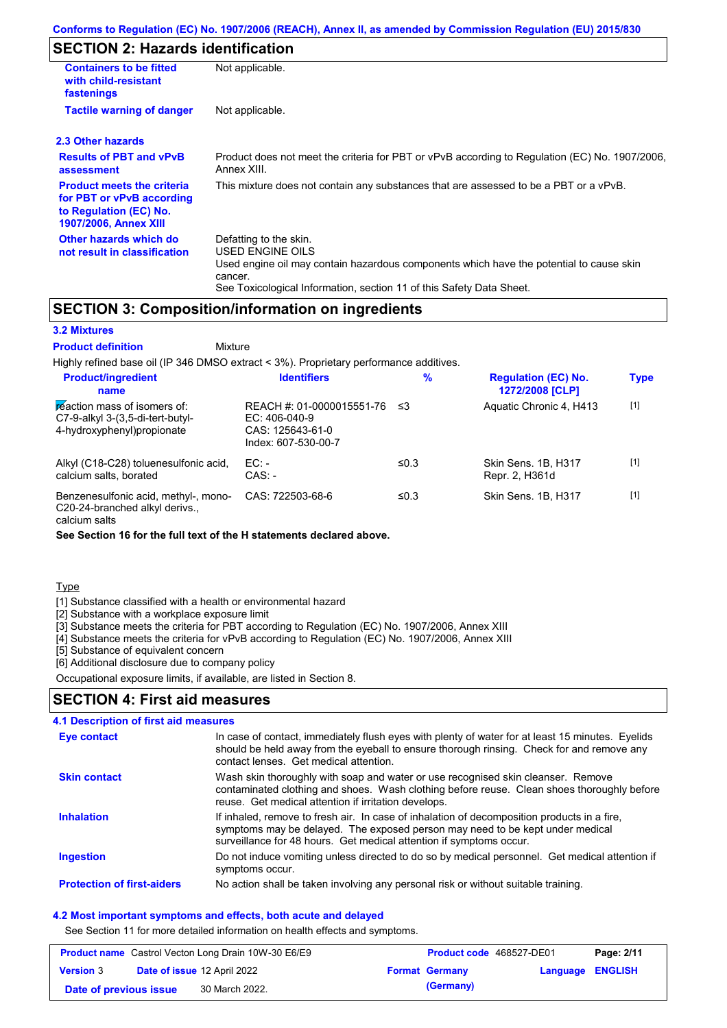# **SECTION 2: Hazards identification**

| <b>Containers to be fitted</b><br>with child-resistant<br>fastenings                                              | Not applicable.                                                                                                                                                                                                          |
|-------------------------------------------------------------------------------------------------------------------|--------------------------------------------------------------------------------------------------------------------------------------------------------------------------------------------------------------------------|
| <b>Tactile warning of danger</b>                                                                                  | Not applicable.                                                                                                                                                                                                          |
| 2.3 Other hazards                                                                                                 |                                                                                                                                                                                                                          |
| <b>Results of PBT and vPvB</b><br>assessment                                                                      | Product does not meet the criteria for PBT or vPvB according to Regulation (EC) No. 1907/2006,<br>Annex XIII.                                                                                                            |
| <b>Product meets the criteria</b><br>for PBT or vPvB according<br>to Regulation (EC) No.<br>1907/2006, Annex XIII | This mixture does not contain any substances that are assessed to be a PBT or a vPvB.                                                                                                                                    |
| Other hazards which do<br>not result in classification                                                            | Defatting to the skin.<br>USED ENGINE OILS<br>Used engine oil may contain hazardous components which have the potential to cause skin<br>cancer.<br>See Toxicological Information, section 11 of this Safety Data Sheet. |

## **SECTION 3: Composition/information on ingredients**

**Mixture** 

## **3.2 Mixtures**

**Product definition**

Highly refined base oil (IP 346 DMSO extract < 3%). Proprietary performance additives. **Product/ingredient % Regulation (EC) No.**

| <b>Product/ingredient</b><br>name                                                                 | <b>Identifiers</b>                                                                      | $\%$    | <b>Regulation (EC) No.</b><br>1272/2008 [CLP] | <b>Type</b> |
|---------------------------------------------------------------------------------------------------|-----------------------------------------------------------------------------------------|---------|-----------------------------------------------|-------------|
| reaction mass of isomers of:<br>$C7-9-alkyl$ 3-(3,5-di-tert-butyl-<br>4-hydroxyphenyl) propionate | REACH #: 01-0000015551-76<br>$EC: 406-040-9$<br>CAS: 125643-61-0<br>Index: 607-530-00-7 | -≤3     | Aquatic Chronic 4, H413                       | $[1]$       |
| Alkyl (C18-C28) toluenesulfonic acid,<br>calcium salts, borated                                   | $EC:$ -<br>$CAS: -$                                                                     | ≤0.3    | Skin Sens, 1B, H317<br>Repr. 2, H361d         | $[1]$       |
| Benzenesulfonic acid, methyl-, mono-<br>C20-24-branched alkyl derivs.,                            | CAS: 722503-68-6                                                                        | ≤ $0.3$ | Skin Sens, 1B, H317                           | $[1]$       |

calcium salts

**See Section 16 for the full text of the H statements declared above.**

**Type** 

[1] Substance classified with a health or environmental hazard

[2] Substance with a workplace exposure limit

[3] Substance meets the criteria for PBT according to Regulation (EC) No. 1907/2006, Annex XIII

[4] Substance meets the criteria for vPvB according to Regulation (EC) No. 1907/2006, Annex XIII

[5] Substance of equivalent concern

[6] Additional disclosure due to company policy

Occupational exposure limits, if available, are listed in Section 8.

## **SECTION 4: First aid measures**

| <b>4.1 Description of first aid measures</b> |                                                                                                                                                                                                                                                     |
|----------------------------------------------|-----------------------------------------------------------------------------------------------------------------------------------------------------------------------------------------------------------------------------------------------------|
| <b>Eye contact</b>                           | In case of contact, immediately flush eyes with plenty of water for at least 15 minutes. Eyelids<br>should be held away from the eyeball to ensure thorough rinsing. Check for and remove any<br>contact lenses. Get medical attention.             |
| <b>Skin contact</b>                          | Wash skin thoroughly with soap and water or use recognised skin cleanser. Remove<br>contaminated clothing and shoes. Wash clothing before reuse. Clean shoes thoroughly before<br>reuse. Get medical attention if irritation develops.              |
| <b>Inhalation</b>                            | If inhaled, remove to fresh air. In case of inhalation of decomposition products in a fire,<br>symptoms may be delayed. The exposed person may need to be kept under medical<br>surveillance for 48 hours. Get medical attention if symptoms occur. |
| <b>Ingestion</b>                             | Do not induce vomiting unless directed to do so by medical personnel. Get medical attention if<br>symptoms occur.                                                                                                                                   |
| <b>Protection of first-aiders</b>            | No action shall be taken involving any personal risk or without suitable training.                                                                                                                                                                  |

#### **4.2 Most important symptoms and effects, both acute and delayed**

See Section 11 for more detailed information on health effects and symptoms.

| <b>Product name</b> Castrol Vecton Long Drain 10W-30 E6/E9 |  |                                    | <b>Product code</b> 468527-DE01 | Page: 2/11            |                  |  |
|------------------------------------------------------------|--|------------------------------------|---------------------------------|-----------------------|------------------|--|
| <b>Version</b> 3                                           |  | <b>Date of issue 12 April 2022</b> |                                 | <b>Format Germany</b> | Language ENGLISH |  |
| Date of previous issue                                     |  | 30 March 2022.                     |                                 | (Germany)             |                  |  |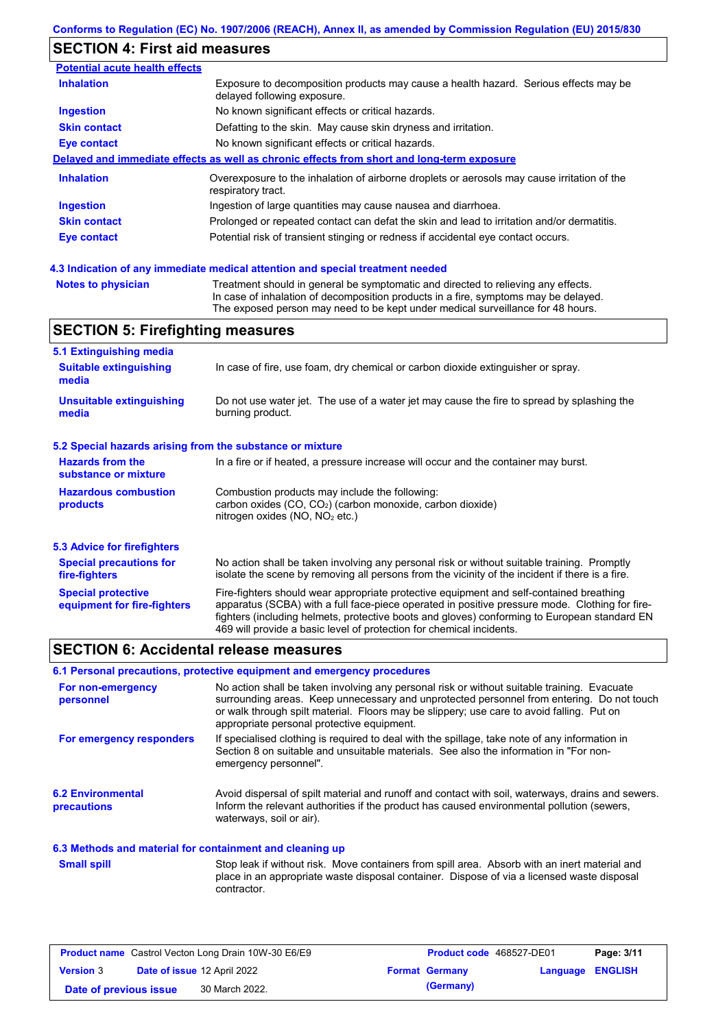# **SECTION 4: First aid measures**

| <b>Potential acute health effects</b>   |                                                                                                                                                                                                                                                             |
|-----------------------------------------|-------------------------------------------------------------------------------------------------------------------------------------------------------------------------------------------------------------------------------------------------------------|
| <b>Inhalation</b>                       | Exposure to decomposition products may cause a health hazard. Serious effects may be<br>delayed following exposure.                                                                                                                                         |
| Ingestion                               | No known significant effects or critical hazards.                                                                                                                                                                                                           |
| <b>Skin contact</b>                     | Defatting to the skin. May cause skin dryness and irritation.                                                                                                                                                                                               |
| Eye contact                             | No known significant effects or critical hazards.                                                                                                                                                                                                           |
|                                         | Delayed and immediate effects as well as chronic effects from short and long-term exposure                                                                                                                                                                  |
| <b>Inhalation</b>                       | Overexposure to the inhalation of airborne droplets or aerosols may cause irritation of the<br>respiratory tract.                                                                                                                                           |
| Ingestion                               | Ingestion of large quantities may cause nausea and diarrhoea.                                                                                                                                                                                               |
| <b>Skin contact</b>                     | Prolonged or repeated contact can defat the skin and lead to irritation and/or dermatitis.                                                                                                                                                                  |
| Eye contact                             | Potential risk of transient stinging or redness if accidental eye contact occurs.                                                                                                                                                                           |
|                                         | 4.3 Indication of any immediate medical attention and special treatment needed                                                                                                                                                                              |
| <b>Notes to physician</b>               | Treatment should in general be symptomatic and directed to relieving any effects.<br>In case of inhalation of decomposition products in a fire, symptoms may be delayed.<br>The exposed person may need to be kept under medical surveillance for 48 hours. |
| <b>SECTION 5: Firefighting measures</b> |                                                                                                                                                                                                                                                             |

| 5.1 Extinguishing media                                   |                                                                                                                                                                                                                                                                                                                                                                   |
|-----------------------------------------------------------|-------------------------------------------------------------------------------------------------------------------------------------------------------------------------------------------------------------------------------------------------------------------------------------------------------------------------------------------------------------------|
| <b>Suitable extinguishing</b><br>media                    | In case of fire, use foam, dry chemical or carbon dioxide extinguisher or spray.                                                                                                                                                                                                                                                                                  |
| <b>Unsuitable extinguishing</b><br>media                  | Do not use water jet. The use of a water jet may cause the fire to spread by splashing the<br>burning product.                                                                                                                                                                                                                                                    |
| 5.2 Special hazards arising from the substance or mixture |                                                                                                                                                                                                                                                                                                                                                                   |
| <b>Hazards from the</b><br>substance or mixture           | In a fire or if heated, a pressure increase will occur and the container may burst.                                                                                                                                                                                                                                                                               |
| <b>Hazardous combustion</b><br>products                   | Combustion products may include the following:<br>carbon oxides (CO, CO <sub>2</sub> ) (carbon monoxide, carbon dioxide)<br>nitrogen oxides ( $NO$ , $NO2$ etc.)                                                                                                                                                                                                  |
| <b>5.3 Advice for firefighters</b>                        |                                                                                                                                                                                                                                                                                                                                                                   |
| <b>Special precautions for</b><br>fire-fighters           | No action shall be taken involving any personal risk or without suitable training. Promptly<br>isolate the scene by removing all persons from the vicinity of the incident if there is a fire.                                                                                                                                                                    |
| <b>Special protective</b><br>equipment for fire-fighters  | Fire-fighters should wear appropriate protective equipment and self-contained breathing<br>apparatus (SCBA) with a full face-piece operated in positive pressure mode. Clothing for fire-<br>fighters (including helmets, protective boots and gloves) conforming to European standard EN<br>469 will provide a basic level of protection for chemical incidents. |

# **SECTION 6: Accidental release measures**

## **6.1 Personal precautions, protective equipment and emergency procedures**

| For non-emergency<br>personnel                           | No action shall be taken involving any personal risk or without suitable training. Evacuate<br>surrounding areas. Keep unnecessary and unprotected personnel from entering. Do not touch<br>or walk through spilt material. Floors may be slippery; use care to avoid falling. Put on<br>appropriate personal protective equipment. |
|----------------------------------------------------------|-------------------------------------------------------------------------------------------------------------------------------------------------------------------------------------------------------------------------------------------------------------------------------------------------------------------------------------|
| For emergency responders                                 | If specialised clothing is required to deal with the spillage, take note of any information in<br>Section 8 on suitable and unsuitable materials. See also the information in "For non-<br>emergency personnel".                                                                                                                    |
| <b>6.2 Environmental</b><br>precautions                  | Avoid dispersal of spilt material and runoff and contact with soil, waterways, drains and sewers.<br>Inform the relevant authorities if the product has caused environmental pollution (sewers,<br>waterways, soil or air).                                                                                                         |
| 6.3 Methods and material for containment and cleaning up |                                                                                                                                                                                                                                                                                                                                     |
| <b>Small spill</b>                                       | Stop leak if without risk. Move containers from spill area. Absorb with an inert material and<br>place in an appropriate waste disposal container. Dispose of via a licensed waste disposal<br>contractor.                                                                                                                          |

| <b>Product name</b> Castrol Vecton Long Drain 10W-30 E6/E9 |  |                             | <b>Product code</b> 468527-DE01 | Page: 3/11            |                         |  |
|------------------------------------------------------------|--|-----------------------------|---------------------------------|-----------------------|-------------------------|--|
| <b>Version 3</b>                                           |  | Date of issue 12 April 2022 |                                 | <b>Format Germany</b> | <b>Language ENGLISH</b> |  |
| Date of previous issue                                     |  | 30 March 2022.              |                                 | (Germany)             |                         |  |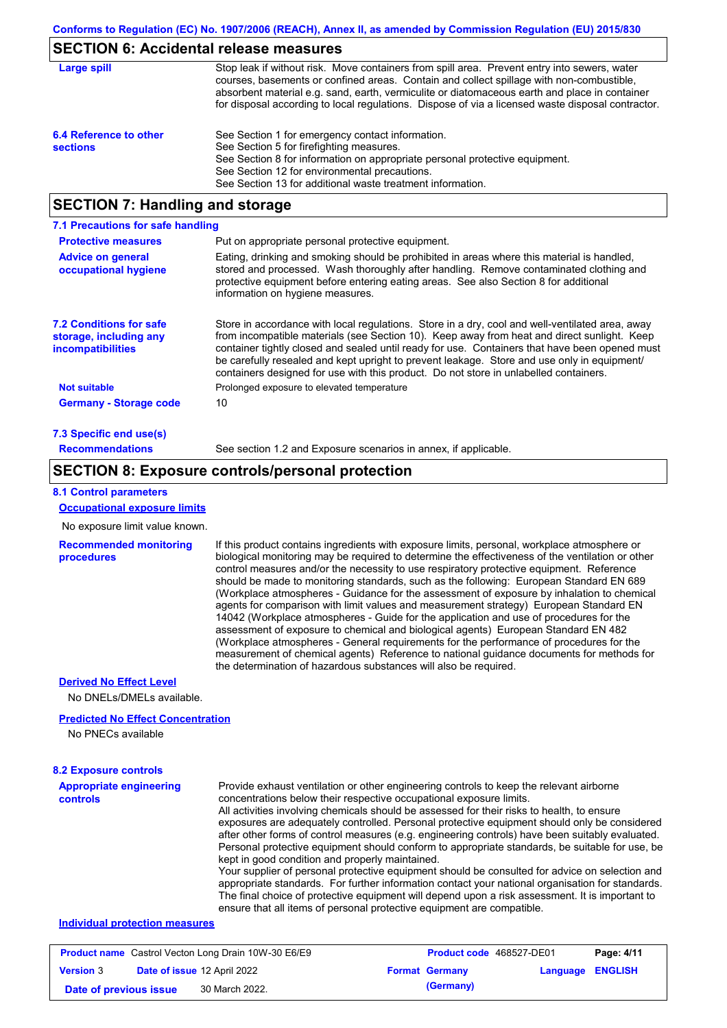## **SECTION 6: Accidental release measures**

| Large spill                               | Stop leak if without risk. Move containers from spill area. Prevent entry into sewers, water<br>courses, basements or confined areas. Contain and collect spillage with non-combustible,<br>absorbent material e.g. sand, earth, vermiculite or diatomaceous earth and place in container<br>for disposal according to local regulations. Dispose of via a licensed waste disposal contractor. |
|-------------------------------------------|------------------------------------------------------------------------------------------------------------------------------------------------------------------------------------------------------------------------------------------------------------------------------------------------------------------------------------------------------------------------------------------------|
| 6.4 Reference to other<br><b>sections</b> | See Section 1 for emergency contact information.<br>See Section 5 for firefighting measures.<br>See Section 8 for information on appropriate personal protective equipment.<br>See Section 12 for environmental precautions.<br>See Section 13 for additional waste treatment information.                                                                                                     |

## **SECTION 7: Handling and storage**

| 7.1 Precautions for safe handling                                                    |                                                                                                                                                                                                                                                                                                                                                                                                                                                                                          |
|--------------------------------------------------------------------------------------|------------------------------------------------------------------------------------------------------------------------------------------------------------------------------------------------------------------------------------------------------------------------------------------------------------------------------------------------------------------------------------------------------------------------------------------------------------------------------------------|
| <b>Protective measures</b>                                                           | Put on appropriate personal protective equipment.                                                                                                                                                                                                                                                                                                                                                                                                                                        |
| <b>Advice on general</b><br>occupational hygiene                                     | Eating, drinking and smoking should be prohibited in areas where this material is handled,<br>stored and processed. Wash thoroughly after handling. Remove contaminated clothing and<br>protective equipment before entering eating areas. See also Section 8 for additional<br>information on hygiene measures.                                                                                                                                                                         |
| <b>7.2 Conditions for safe</b><br>storage, including any<br><i>incompatibilities</i> | Store in accordance with local requiations. Store in a dry, cool and well-ventilated area, away<br>from incompatible materials (see Section 10). Keep away from heat and direct sunlight. Keep<br>container tightly closed and sealed until ready for use. Containers that have been opened must<br>be carefully resealed and kept upright to prevent leakage. Store and use only in equipment/<br>containers designed for use with this product. Do not store in unlabelled containers. |
| <b>Not suitable</b>                                                                  | Prolonged exposure to elevated temperature                                                                                                                                                                                                                                                                                                                                                                                                                                               |
| <b>Germany - Storage code</b>                                                        | 10                                                                                                                                                                                                                                                                                                                                                                                                                                                                                       |
| 7.3 Specific end use(s)                                                              |                                                                                                                                                                                                                                                                                                                                                                                                                                                                                          |
| <b>Recommendations</b>                                                               | See section 1.2 and Exposure scenarios in annex, if applicable.                                                                                                                                                                                                                                                                                                                                                                                                                          |

## **SECTION 8: Exposure controls/personal protection**

### **8.1 Control parameters**

**Occupational exposure limits**

No exposure limit value known.

**Recommended monitoring procedures**

If this product contains ingredients with exposure limits, personal, workplace atmosphere or biological monitoring may be required to determine the effectiveness of the ventilation or other control measures and/or the necessity to use respiratory protective equipment. Reference should be made to monitoring standards, such as the following: European Standard EN 689 (Workplace atmospheres - Guidance for the assessment of exposure by inhalation to chemical agents for comparison with limit values and measurement strategy) European Standard EN 14042 (Workplace atmospheres - Guide for the application and use of procedures for the assessment of exposure to chemical and biological agents) European Standard EN 482 (Workplace atmospheres - General requirements for the performance of procedures for the measurement of chemical agents) Reference to national guidance documents for methods for the determination of hazardous substances will also be required.

#### **Derived No Effect Level**

No DNELs/DMELs available.

## **Predicted No Effect Concentration**

No PNECs available

## **8.2 Exposure controls**

| <b>Appropriate engineering</b><br><b>controls</b> | Provide exhaust ventilation or other engineering controls to keep the relevant airborne<br>concentrations below their respective occupational exposure limits.<br>All activities involving chemicals should be assessed for their risks to health, to ensure<br>exposures are adequately controlled. Personal protective equipment should only be considered<br>after other forms of control measures (e.g. engineering controls) have been suitably evaluated.<br>Personal protective equipment should conform to appropriate standards, be suitable for use, be<br>kept in good condition and properly maintained.<br>Your supplier of personal protective equipment should be consulted for advice on selection and<br>appropriate standards. For further information contact your national organisation for standards.<br>The final choice of protective equipment will depend upon a risk assessment. It is important to<br>ensure that all items of personal protective equipment are compatible. |
|---------------------------------------------------|---------------------------------------------------------------------------------------------------------------------------------------------------------------------------------------------------------------------------------------------------------------------------------------------------------------------------------------------------------------------------------------------------------------------------------------------------------------------------------------------------------------------------------------------------------------------------------------------------------------------------------------------------------------------------------------------------------------------------------------------------------------------------------------------------------------------------------------------------------------------------------------------------------------------------------------------------------------------------------------------------------|
|---------------------------------------------------|---------------------------------------------------------------------------------------------------------------------------------------------------------------------------------------------------------------------------------------------------------------------------------------------------------------------------------------------------------------------------------------------------------------------------------------------------------------------------------------------------------------------------------------------------------------------------------------------------------------------------------------------------------------------------------------------------------------------------------------------------------------------------------------------------------------------------------------------------------------------------------------------------------------------------------------------------------------------------------------------------------|

### **Individual protection measures**

| <b>Product name</b> Castrol Vecton Long Drain 10W-30 E6/E9 |  | <b>Product code</b> 468527-DE01    |  | Page: 4/11            |                         |  |
|------------------------------------------------------------|--|------------------------------------|--|-----------------------|-------------------------|--|
| <b>Version 3</b>                                           |  | <b>Date of issue 12 April 2022</b> |  | <b>Format Germany</b> | <b>Language ENGLISH</b> |  |
| Date of previous issue                                     |  | 30 March 2022.                     |  | (Germany)             |                         |  |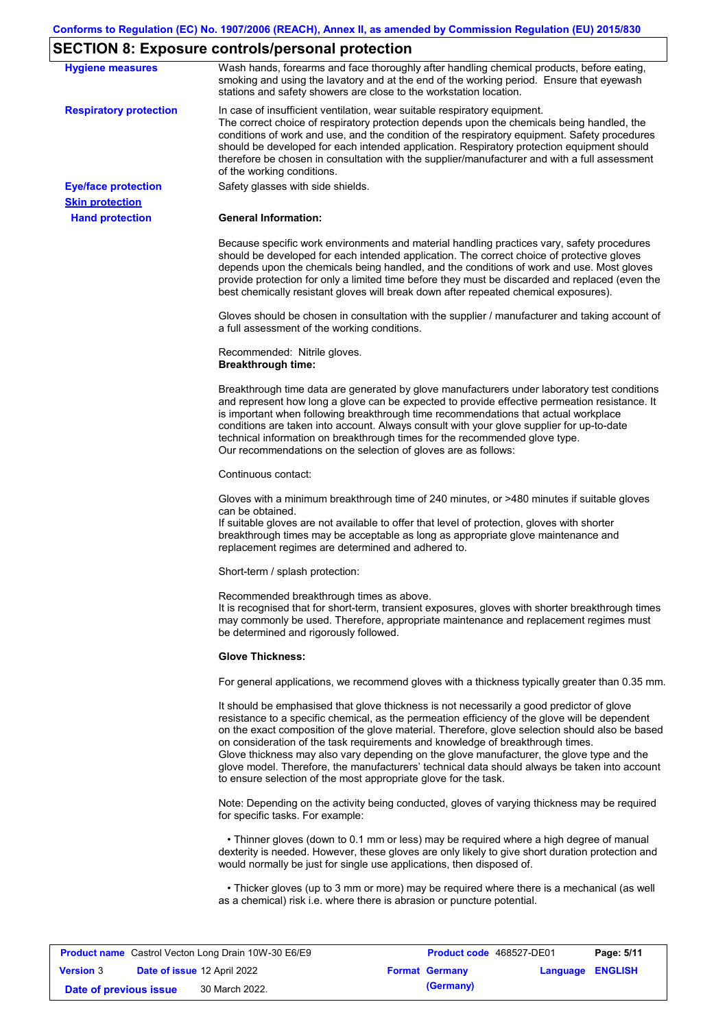# **SECTION 8: Exposure controls/personal protection**

| <b>Hygiene measures</b>       | Wash hands, forearms and face thoroughly after handling chemical products, before eating,<br>smoking and using the lavatory and at the end of the working period. Ensure that eyewash<br>stations and safety showers are close to the workstation location.                                                                                                                                                                                                                                                                                                                                                                                       |
|-------------------------------|---------------------------------------------------------------------------------------------------------------------------------------------------------------------------------------------------------------------------------------------------------------------------------------------------------------------------------------------------------------------------------------------------------------------------------------------------------------------------------------------------------------------------------------------------------------------------------------------------------------------------------------------------|
| <b>Respiratory protection</b> | In case of insufficient ventilation, wear suitable respiratory equipment.<br>The correct choice of respiratory protection depends upon the chemicals being handled, the<br>conditions of work and use, and the condition of the respiratory equipment. Safety procedures<br>should be developed for each intended application. Respiratory protection equipment should<br>therefore be chosen in consultation with the supplier/manufacturer and with a full assessment<br>of the working conditions.                                                                                                                                             |
| <b>Eye/face protection</b>    | Safety glasses with side shields.                                                                                                                                                                                                                                                                                                                                                                                                                                                                                                                                                                                                                 |
| <b>Skin protection</b>        |                                                                                                                                                                                                                                                                                                                                                                                                                                                                                                                                                                                                                                                   |
| <b>Hand protection</b>        | <b>General Information:</b>                                                                                                                                                                                                                                                                                                                                                                                                                                                                                                                                                                                                                       |
|                               | Because specific work environments and material handling practices vary, safety procedures<br>should be developed for each intended application. The correct choice of protective gloves<br>depends upon the chemicals being handled, and the conditions of work and use. Most gloves<br>provide protection for only a limited time before they must be discarded and replaced (even the<br>best chemically resistant gloves will break down after repeated chemical exposures).                                                                                                                                                                  |
|                               | Gloves should be chosen in consultation with the supplier / manufacturer and taking account of<br>a full assessment of the working conditions.                                                                                                                                                                                                                                                                                                                                                                                                                                                                                                    |
|                               | Recommended: Nitrile gloves.<br><b>Breakthrough time:</b>                                                                                                                                                                                                                                                                                                                                                                                                                                                                                                                                                                                         |
|                               | Breakthrough time data are generated by glove manufacturers under laboratory test conditions<br>and represent how long a glove can be expected to provide effective permeation resistance. It<br>is important when following breakthrough time recommendations that actual workplace<br>conditions are taken into account. Always consult with your glove supplier for up-to-date<br>technical information on breakthrough times for the recommended glove type.<br>Our recommendations on the selection of gloves are as follows:                                                                                                                |
|                               | Continuous contact:                                                                                                                                                                                                                                                                                                                                                                                                                                                                                                                                                                                                                               |
|                               | Gloves with a minimum breakthrough time of 240 minutes, or >480 minutes if suitable gloves<br>can be obtained.<br>If suitable gloves are not available to offer that level of protection, gloves with shorter<br>breakthrough times may be acceptable as long as appropriate glove maintenance and<br>replacement regimes are determined and adhered to.                                                                                                                                                                                                                                                                                          |
|                               | Short-term / splash protection:                                                                                                                                                                                                                                                                                                                                                                                                                                                                                                                                                                                                                   |
|                               | Recommended breakthrough times as above.<br>It is recognised that for short-term, transient exposures, gloves with shorter breakthrough times<br>may commonly be used. Therefore, appropriate maintenance and replacement regimes must<br>be determined and rigorously followed.                                                                                                                                                                                                                                                                                                                                                                  |
|                               | <b>Glove Thickness:</b>                                                                                                                                                                                                                                                                                                                                                                                                                                                                                                                                                                                                                           |
|                               | For general applications, we recommend gloves with a thickness typically greater than 0.35 mm.                                                                                                                                                                                                                                                                                                                                                                                                                                                                                                                                                    |
|                               | It should be emphasised that glove thickness is not necessarily a good predictor of glove<br>resistance to a specific chemical, as the permeation efficiency of the glove will be dependent<br>on the exact composition of the glove material. Therefore, glove selection should also be based<br>on consideration of the task requirements and knowledge of breakthrough times.<br>Glove thickness may also vary depending on the glove manufacturer, the glove type and the<br>glove model. Therefore, the manufacturers' technical data should always be taken into account<br>to ensure selection of the most appropriate glove for the task. |
|                               | Note: Depending on the activity being conducted, gloves of varying thickness may be required<br>for specific tasks. For example:                                                                                                                                                                                                                                                                                                                                                                                                                                                                                                                  |
|                               | • Thinner gloves (down to 0.1 mm or less) may be required where a high degree of manual<br>dexterity is needed. However, these gloves are only likely to give short duration protection and<br>would normally be just for single use applications, then disposed of.                                                                                                                                                                                                                                                                                                                                                                              |
|                               | • Thicker gloves (up to 3 mm or more) may be required where there is a mechanical (as well<br>as a chemical) risk i.e. where there is abrasion or puncture potential.                                                                                                                                                                                                                                                                                                                                                                                                                                                                             |

| <b>Product name</b> Castrol Vecton Long Drain 10W-30 E6/E9 |  | <b>Product code</b> 468527-DE01 | Page: 5/11 |                       |                         |  |
|------------------------------------------------------------|--|---------------------------------|------------|-----------------------|-------------------------|--|
| <b>Version 3</b>                                           |  | Date of issue 12 April 2022     |            | <b>Format Germany</b> | <b>Language ENGLISH</b> |  |
| Date of previous issue                                     |  | 30 March 2022.                  |            | (Germany)             |                         |  |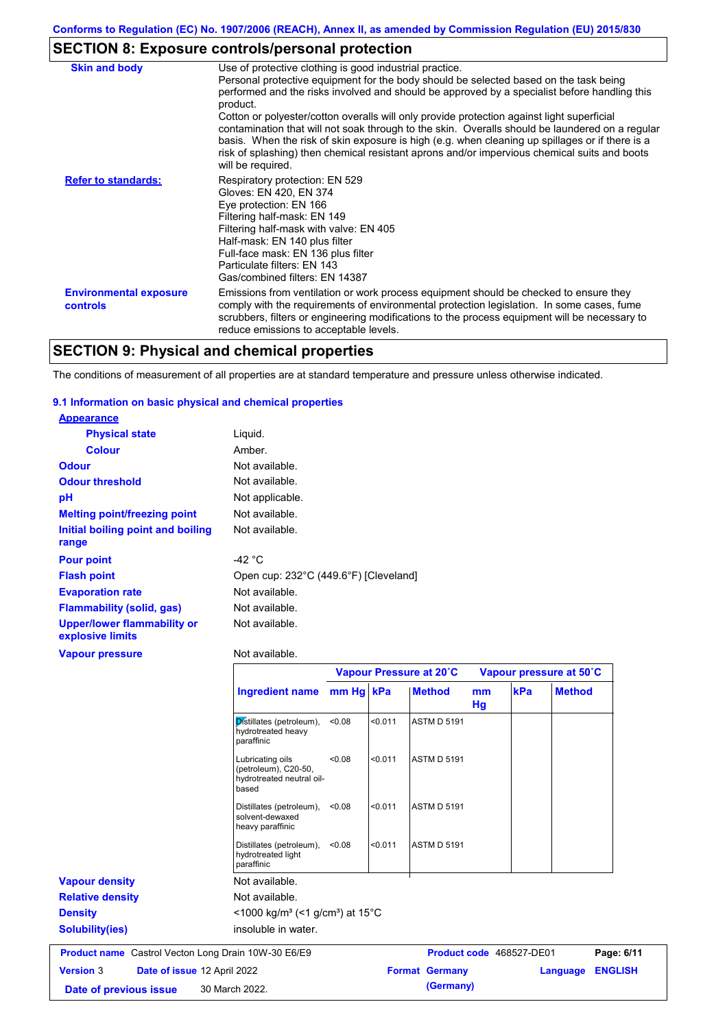# **SECTION 8: Exposure controls/personal protection**

| <b>Skin and body</b>                             | Use of protective clothing is good industrial practice.<br>Personal protective equipment for the body should be selected based on the task being<br>performed and the risks involved and should be approved by a specialist before handling this<br>product.<br>Cotton or polyester/cotton overalls will only provide protection against light superficial<br>contamination that will not soak through to the skin. Overalls should be laundered on a regular<br>basis. When the risk of skin exposure is high (e.g. when cleaning up spillages or if there is a |
|--------------------------------------------------|------------------------------------------------------------------------------------------------------------------------------------------------------------------------------------------------------------------------------------------------------------------------------------------------------------------------------------------------------------------------------------------------------------------------------------------------------------------------------------------------------------------------------------------------------------------|
| <b>Refer to standards:</b>                       | risk of splashing) then chemical resistant aprons and/or impervious chemical suits and boots<br>will be required.<br>Respiratory protection: EN 529<br>Gloves: EN 420, EN 374<br>Eye protection: EN 166<br>Filtering half-mask: EN 149<br>Filtering half-mask with valve: EN 405<br>Half-mask: EN 140 plus filter                                                                                                                                                                                                                                                |
|                                                  | Full-face mask: EN 136 plus filter<br>Particulate filters: EN 143<br>Gas/combined filters: EN 14387                                                                                                                                                                                                                                                                                                                                                                                                                                                              |
| <b>Environmental exposure</b><br><b>controls</b> | Emissions from ventilation or work process equipment should be checked to ensure they<br>comply with the requirements of environmental protection legislation. In some cases, fume<br>scrubbers, filters or engineering modifications to the process equipment will be necessary to<br>reduce emissions to acceptable levels.                                                                                                                                                                                                                                    |

# **SECTION 9: Physical and chemical properties**

The conditions of measurement of all properties are at standard temperature and pressure unless otherwise indicated.

## **9.1 Information on basic physical and chemical properties**

| <b>Appearance</b>                               |                                       |
|-------------------------------------------------|---------------------------------------|
| <b>Physical state</b>                           | Liquid.                               |
| <b>Colour</b>                                   | Amber.                                |
| <b>Odour</b>                                    | Not available.                        |
| <b>Odour threshold</b>                          | Not available.                        |
| рH                                              | Not applicable.                       |
| <b>Melting point/freezing point</b>             | Not available.                        |
| Initial boiling point and boiling<br>range      | Not available.                        |
| <b>Pour point</b>                               | -42 °C                                |
| <b>Flash point</b>                              | Open cup: 232°C (449.6°F) [Cleveland] |
| <b>Evaporation rate</b>                         | Not available.                        |
| <b>Flammability (solid, gas)</b>                | Not available.                        |
| Upper/lower flammability or<br>explosive limits | Not available.                        |
| <b>Vapour pressure</b>                          | Not available.                        |

|                                                            |                                                                                |           |         | Vapour Pressure at 20°C |          | Vapour pressure at 50°C  |               |                |
|------------------------------------------------------------|--------------------------------------------------------------------------------|-----------|---------|-------------------------|----------|--------------------------|---------------|----------------|
|                                                            | <b>Ingredient name</b>                                                         | mm Hg kPa |         | <b>Method</b>           | mm<br>Hg | kPa                      | <b>Method</b> |                |
|                                                            | Distillates (petroleum),<br>hydrotreated heavy<br>paraffinic                   | < 0.08    | < 0.011 | <b>ASTM D 5191</b>      |          |                          |               |                |
|                                                            | Lubricating oils<br>(petroleum), C20-50,<br>hydrotreated neutral oil-<br>based | < 0.08    | < 0.011 | <b>ASTM D 5191</b>      |          |                          |               |                |
|                                                            | Distillates (petroleum),<br>solvent-dewaxed<br>heavy paraffinic                | < 0.08    | < 0.011 | <b>ASTM D 5191</b>      |          |                          |               |                |
|                                                            | Distillates (petroleum),<br>hydrotreated light<br>paraffinic                   | < 0.08    | < 0.011 | <b>ASTM D 5191</b>      |          |                          |               |                |
| <b>Vapour density</b>                                      | Not available.                                                                 |           |         |                         |          |                          |               |                |
| <b>Relative density</b>                                    | Not available.                                                                 |           |         |                         |          |                          |               |                |
| <b>Density</b>                                             | $<$ 1000 kg/m <sup>3</sup> (<1 g/cm <sup>3</sup> ) at 15 <sup>°</sup> C        |           |         |                         |          |                          |               |                |
| <b>Solubility(ies)</b>                                     | insoluble in water.                                                            |           |         |                         |          |                          |               |                |
| <b>Product name</b> Castrol Vecton Long Drain 10W-30 E6/E9 |                                                                                |           |         |                         |          | Product code 468527-DE01 |               | Page: 6/11     |
| <b>Version 3</b><br>Date of issue 12 April 2022            |                                                                                |           |         | <b>Format Germany</b>   |          |                          | Language      | <b>ENGLISH</b> |
| Date of previous issue                                     | 30 March 2022.                                                                 |           |         | (Germany)               |          |                          |               |                |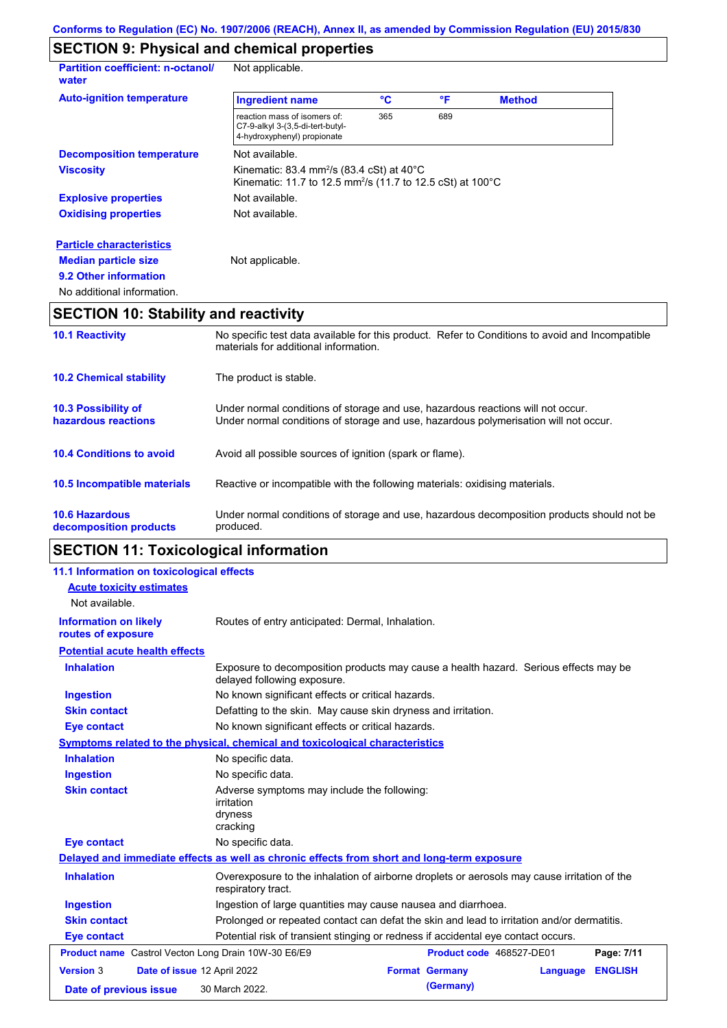# **SECTION 9: Physical and chemical properties**

| <b>Partition coefficient: n-octanol/</b><br>water | Not applicable.                                                                                                                           |     |     |               |  |
|---------------------------------------------------|-------------------------------------------------------------------------------------------------------------------------------------------|-----|-----|---------------|--|
| <b>Auto-ignition temperature</b>                  | <b>Ingredient name</b>                                                                                                                    | °C  | °F  | <b>Method</b> |  |
|                                                   | reaction mass of isomers of:<br>C7-9-alkyl 3-(3,5-di-tert-butyl-<br>4-hydroxyphenyl) propionate                                           | 365 | 689 |               |  |
| <b>Decomposition temperature</b>                  | Not available.                                                                                                                            |     |     |               |  |
| <b>Viscosity</b>                                  | Kinematic: 83.4 mm <sup>2</sup> /s (83.4 cSt) at $40^{\circ}$ C<br>Kinematic: 11.7 to 12.5 mm <sup>2</sup> /s (11.7 to 12.5 cSt) at 100°C |     |     |               |  |
| <b>Explosive properties</b>                       | Not available.                                                                                                                            |     |     |               |  |
| <b>Oxidising properties</b>                       | Not available.                                                                                                                            |     |     |               |  |
| <b>Particle characteristics</b>                   |                                                                                                                                           |     |     |               |  |
| <b>Median particle size</b>                       | Not applicable.                                                                                                                           |     |     |               |  |
| 9.2 Other information                             |                                                                                                                                           |     |     |               |  |
| No additional information.                        |                                                                                                                                           |     |     |               |  |

# **SECTION 10: Stability and reactivity**

| <b>10.1 Reactivity</b>                            | No specific test data available for this product. Refer to Conditions to avoid and Incompatible<br>materials for additional information.                                |
|---------------------------------------------------|-------------------------------------------------------------------------------------------------------------------------------------------------------------------------|
| <b>10.2 Chemical stability</b>                    | The product is stable.                                                                                                                                                  |
| <b>10.3 Possibility of</b><br>hazardous reactions | Under normal conditions of storage and use, hazardous reactions will not occur.<br>Under normal conditions of storage and use, hazardous polymerisation will not occur. |
| <b>10.4 Conditions to avoid</b>                   | Avoid all possible sources of ignition (spark or flame).                                                                                                                |
| 10.5 Incompatible materials                       | Reactive or incompatible with the following materials: oxidising materials.                                                                                             |
| <b>10.6 Hazardous</b><br>decomposition products   | Under normal conditions of storage and use, hazardous decomposition products should not be<br>produced.                                                                 |

# **SECTION 11: Toxicological information**

| 11.1 Information on toxicological effects                  |                                                                                                                     |
|------------------------------------------------------------|---------------------------------------------------------------------------------------------------------------------|
| <b>Acute toxicity estimates</b>                            |                                                                                                                     |
| Not available.                                             |                                                                                                                     |
| <b>Information on likely</b><br>routes of exposure         | Routes of entry anticipated: Dermal, Inhalation.                                                                    |
| <b>Potential acute health effects</b>                      |                                                                                                                     |
| <b>Inhalation</b>                                          | Exposure to decomposition products may cause a health hazard. Serious effects may be<br>delayed following exposure. |
| <b>Ingestion</b>                                           | No known significant effects or critical hazards.                                                                   |
| <b>Skin contact</b>                                        | Defatting to the skin. May cause skin dryness and irritation.                                                       |
| <b>Eye contact</b>                                         | No known significant effects or critical hazards.                                                                   |
|                                                            | Symptoms related to the physical, chemical and toxicological characteristics                                        |
| <b>Inhalation</b>                                          | No specific data.                                                                                                   |
| <b>Ingestion</b>                                           | No specific data.                                                                                                   |
| <b>Skin contact</b>                                        | Adverse symptoms may include the following:<br><i>irritation</i><br>dryness<br>cracking                             |
| <b>Eye contact</b>                                         | No specific data.                                                                                                   |
|                                                            | Delayed and immediate effects as well as chronic effects from short and long-term exposure                          |
| <b>Inhalation</b>                                          | Overexposure to the inhalation of airborne droplets or aerosols may cause irritation of the<br>respiratory tract.   |
| <b>Ingestion</b>                                           | Ingestion of large quantities may cause nausea and diarrhoea.                                                       |
| <b>Skin contact</b>                                        | Prolonged or repeated contact can defat the skin and lead to irritation and/or dermatitis.                          |
| <b>Eye contact</b>                                         | Potential risk of transient stinging or redness if accidental eye contact occurs.                                   |
| <b>Product name</b> Castrol Vecton Long Drain 10W-30 E6/E9 | Product code 468527-DE01<br>Page: 7/11                                                                              |
| <b>Version 3</b>                                           | Date of issue 12 April 2022<br><b>Format Germany</b><br><b>ENGLISH</b><br>Language                                  |
| Date of previous issue                                     | (Germany)<br>30 March 2022.                                                                                         |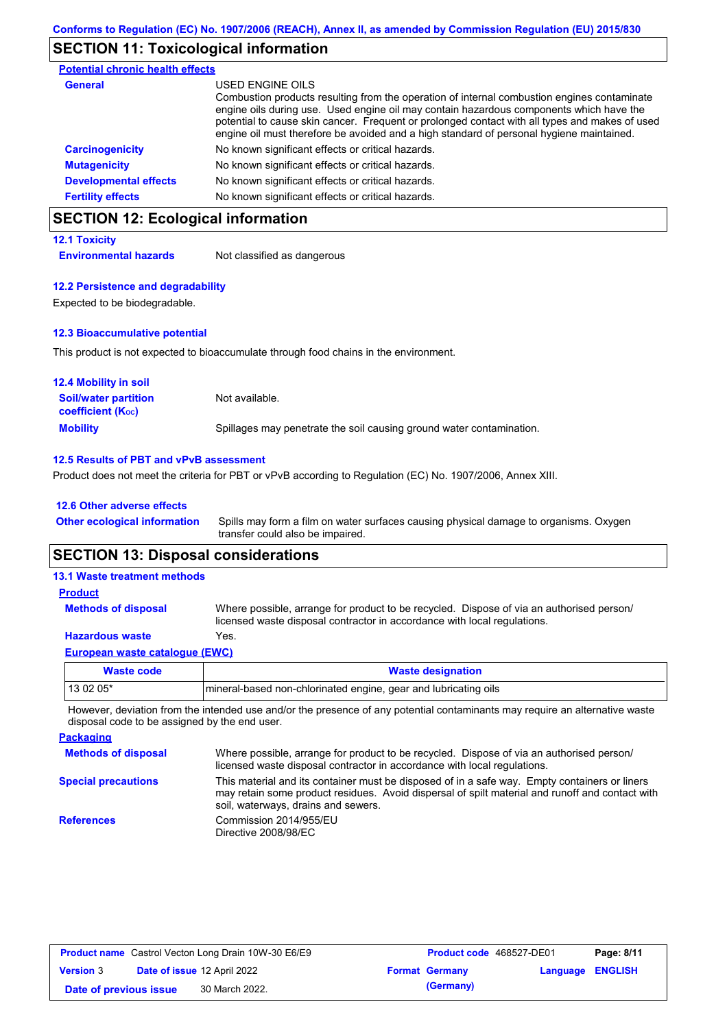## **SECTION 11: Toxicological information**

| <b>Potential chronic health effects</b> |                                                                                                                                                                                                                                                                                                                                                                                                          |
|-----------------------------------------|----------------------------------------------------------------------------------------------------------------------------------------------------------------------------------------------------------------------------------------------------------------------------------------------------------------------------------------------------------------------------------------------------------|
| General                                 | USED ENGINE OILS<br>Combustion products resulting from the operation of internal combustion engines contaminate<br>engine oils during use. Used engine oil may contain hazardous components which have the<br>potential to cause skin cancer. Frequent or prolonged contact with all types and makes of used<br>engine oil must therefore be avoided and a high standard of personal hygiene maintained. |
| <b>Carcinogenicity</b>                  | No known significant effects or critical hazards.                                                                                                                                                                                                                                                                                                                                                        |
| <b>Mutagenicity</b>                     | No known significant effects or critical hazards.                                                                                                                                                                                                                                                                                                                                                        |
| <b>Developmental effects</b>            | No known significant effects or critical hazards.                                                                                                                                                                                                                                                                                                                                                        |
| <b>Fertility effects</b>                | No known significant effects or critical hazards.                                                                                                                                                                                                                                                                                                                                                        |

# **SECTION 12: Ecological information**

## **12.1 Toxicity**

**Environmental hazards** Not classified as dangerous

#### **12.2 Persistence and degradability**

Expected to be biodegradable.

#### **12.3 Bioaccumulative potential**

This product is not expected to bioaccumulate through food chains in the environment.

| <b>12.4 Mobility in soil</b>                            |                                                                      |
|---------------------------------------------------------|----------------------------------------------------------------------|
| <b>Soil/water partition</b><br><b>coefficient (Koc)</b> | Not available.                                                       |
| <b>Mobility</b>                                         | Spillages may penetrate the soil causing ground water contamination. |

#### **12.5 Results of PBT and vPvB assessment**

Product does not meet the criteria for PBT or vPvB according to Regulation (EC) No. 1907/2006, Annex XIII.

| 12.6 Other adverse effects          |                                                                                                                           |
|-------------------------------------|---------------------------------------------------------------------------------------------------------------------------|
| <b>Other ecological information</b> | Spills may form a film on water surfaces causing physical damage to organisms. Oxygen<br>transfer could also be impaired. |

# **SECTION 13: Disposal considerations**

| <b>Waste code</b>                     | <b>Wasto designation</b>                                                                                                                                             |
|---------------------------------------|----------------------------------------------------------------------------------------------------------------------------------------------------------------------|
| <b>European waste catalogue (EWC)</b> |                                                                                                                                                                      |
| <b>Hazardous waste</b>                | Yes.                                                                                                                                                                 |
| <b>Methods of disposal</b>            | Where possible, arrange for product to be recycled. Dispose of via an authorised person/<br>licensed waste disposal contractor in accordance with local regulations. |
| <b>Product</b>                        |                                                                                                                                                                      |
| <b>13.1 Waste treatment methods</b>   |                                                                                                                                                                      |

| Waste code | <b>Waste designation</b>                                         |
|------------|------------------------------------------------------------------|
| 13 02 05*  | Imineral-based non-chlorinated engine, gear and lubricating oils |

However, deviation from the intended use and/or the presence of any potential contaminants may require an alternative waste disposal code to be assigned by the end user.

**Packaging Methods of disposal Special precautions** Where possible, arrange for product to be recycled. Dispose of via an authorised person/ licensed waste disposal contractor in accordance with local regulations. This material and its container must be disposed of in a safe way. Empty containers or liners may retain some product residues. Avoid dispersal of spilt material and runoff and contact with soil, waterways, drains and sewers. **References** Commission 2014/955/EU Directive 2008/98/EC

| <b>Product name</b> Castrol Vecton Long Drain 10W-30 E6/E9 |  | Product code 468527-DE01           |  | Page: 8/11            |                         |  |
|------------------------------------------------------------|--|------------------------------------|--|-----------------------|-------------------------|--|
| <b>Version 3</b>                                           |  | <b>Date of issue 12 April 2022</b> |  | <b>Format Germany</b> | <b>Language ENGLISH</b> |  |
| Date of previous issue                                     |  | 30 March 2022.                     |  | (Germany)             |                         |  |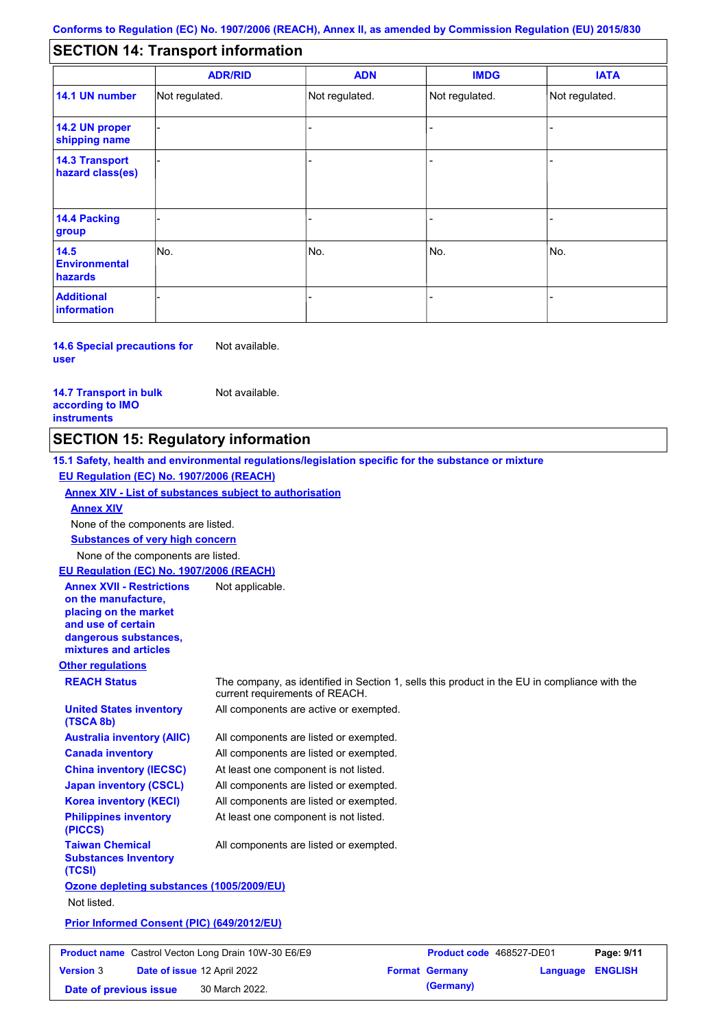#### - - - - - - - - - Not regulated. Not regulated. Not regulated. - - - **SECTION 14: Transport information ADR/RID IMDG IATA 14.1 UN number 14.2 UN proper shipping name 14.3 Transport hazard class(es) 14.4 Packing group ADN Additional information 14.5 Environmental hazards** No. 1980 | No. 1980 | No. 1980 | No. 1980 | No. 1980 | No. 1980 | No. 1980 | No. 1980 | No. 1980 | No. 1980 | Not regulated. - -<br>No. - -

**14.6 Special precautions for user** Not available.

#### **14.7 Transport in bulk according to IMO instruments**

Not available.

## **SECTION 15: Regulatory information**

**Other regulations REACH Status** The company, as identified in Section 1, sells this product in the EU in compliance with the current requirements of REACH. **15.1 Safety, health and environmental regulations/legislation specific for the substance or mixture EU Regulation (EC) No. 1907/2006 (REACH) Annex XIV - List of substances subject to authorisation Substances of very high concern** None of the components are listed. All components are listed or exempted. All components are listed or exempted. At least one component is not listed. All components are listed or exempted. All components are active or exempted. All components are listed or exempted. At least one component is not listed. **United States inventory (TSCA 8b) Australia inventory (AIIC) Canada inventory China inventory (IECSC) Japan inventory (CSCL) Korea inventory (KECI) Philippines inventory (PICCS) Taiwan Chemical Substances Inventory (TCSI)** All components are listed or exempted. **Ozone depleting substances (1005/2009/EU)** Not listed. **Prior Informed Consent (PIC) (649/2012/EU)** None of the components are listed. **Annex XIV EU Regulation (EC) No. 1907/2006 (REACH) Annex XVII - Restrictions on the manufacture, placing on the market and use of certain dangerous substances, mixtures and articles** Not applicable.

|                        | <b>Product name</b> Castrol Vecton Long Drain 10W-30 E6/E9 | <b>Product code</b> 468527-DE01 |                         | Page: 9/11 |
|------------------------|------------------------------------------------------------|---------------------------------|-------------------------|------------|
| <b>Version 3</b>       | Date of issue 12 April 2022                                | <b>Format Germany</b>           | <b>Language ENGLISH</b> |            |
| Date of previous issue | 30 March 2022.                                             | (Germany)                       |                         |            |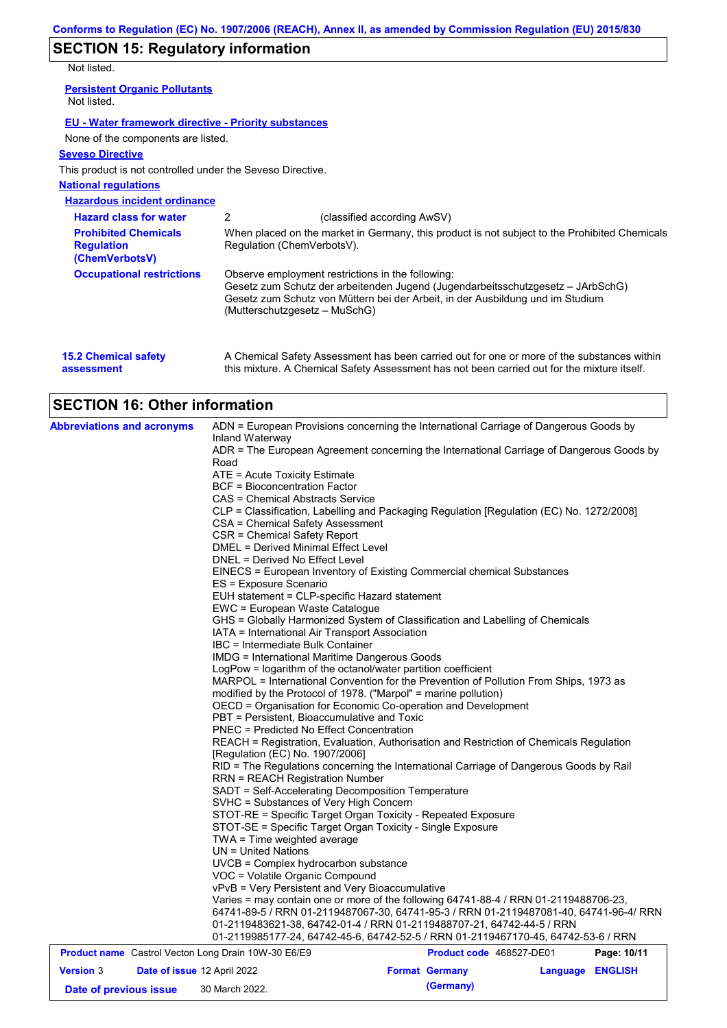# **SECTION 15: Regulatory information**

Not listed.

| <b>INOL IISLEU.</b>                                                |                               |                                                                                                                                                                                                                        |
|--------------------------------------------------------------------|-------------------------------|------------------------------------------------------------------------------------------------------------------------------------------------------------------------------------------------------------------------|
| <b>Persistent Organic Pollutants</b><br>Not listed.                |                               |                                                                                                                                                                                                                        |
| EU - Water framework directive - Priority substances               |                               |                                                                                                                                                                                                                        |
| None of the components are listed.                                 |                               |                                                                                                                                                                                                                        |
| <b>Seveso Directive</b>                                            |                               |                                                                                                                                                                                                                        |
| This product is not controlled under the Seveso Directive.         |                               |                                                                                                                                                                                                                        |
| <b>National regulations</b>                                        |                               |                                                                                                                                                                                                                        |
| <b>Hazardous incident ordinance</b>                                |                               |                                                                                                                                                                                                                        |
| <b>Hazard class for water</b>                                      | 2                             | (classified according AwSV)                                                                                                                                                                                            |
| <b>Prohibited Chemicals</b><br><b>Regulation</b><br>(ChemVerbotsV) | Regulation (ChemVerbotsV).    | When placed on the market in Germany, this product is not subject to the Prohibited Chemicals                                                                                                                          |
| <b>Occupational restrictions</b>                                   | (Mutterschutzgesetz – MuSchG) | Observe employment restrictions in the following:<br>Gesetz zum Schutz der arbeitenden Jugend (Jugendarbeitsschutzgesetz – JArbSchG)<br>Gesetz zum Schutz von Müttern bei der Arbeit, in der Ausbildung und im Studium |
| <b>AED Chamisel safety</b>                                         |                               | A Chamical Catchi Accordoment has been corried out for one or more of the cubeteness within                                                                                                                            |

| <b>15.2 Chemical safety</b> | A Chemical Safety Assessment has been carried out for one or more of the substances within  |
|-----------------------------|---------------------------------------------------------------------------------------------|
| assessment                  | this mixture. A Chemical Safety Assessment has not been carried out for the mixture itself. |

# **SECTION 16: Other information**

| <b>Abbreviations and acronyms</b>                          | ADN = European Provisions concerning the International Carriage of Dangerous Goods by                                                                                                                                                                                                                                         |                                 |                  |  |  |  |  |
|------------------------------------------------------------|-------------------------------------------------------------------------------------------------------------------------------------------------------------------------------------------------------------------------------------------------------------------------------------------------------------------------------|---------------------------------|------------------|--|--|--|--|
|                                                            | Inland Waterway<br>ADR = The European Agreement concerning the International Carriage of Dangerous Goods by                                                                                                                                                                                                                   |                                 |                  |  |  |  |  |
|                                                            | Road                                                                                                                                                                                                                                                                                                                          |                                 |                  |  |  |  |  |
|                                                            | ATE = Acute Toxicity Estimate<br><b>BCF</b> = Bioconcentration Factor<br>CAS = Chemical Abstracts Service                                                                                                                                                                                                                     |                                 |                  |  |  |  |  |
|                                                            |                                                                                                                                                                                                                                                                                                                               |                                 |                  |  |  |  |  |
|                                                            |                                                                                                                                                                                                                                                                                                                               |                                 |                  |  |  |  |  |
|                                                            | CLP = Classification, Labelling and Packaging Regulation [Regulation (EC) No. 1272/2008]                                                                                                                                                                                                                                      |                                 |                  |  |  |  |  |
|                                                            | CSA = Chemical Safety Assessment                                                                                                                                                                                                                                                                                              |                                 |                  |  |  |  |  |
|                                                            | CSR = Chemical Safety Report                                                                                                                                                                                                                                                                                                  |                                 |                  |  |  |  |  |
|                                                            | <b>DMEL = Derived Minimal Effect Level</b><br>DNEL = Derived No Effect Level                                                                                                                                                                                                                                                  |                                 |                  |  |  |  |  |
|                                                            | EINECS = European Inventory of Existing Commercial chemical Substances<br>ES = Exposure Scenario                                                                                                                                                                                                                              |                                 |                  |  |  |  |  |
|                                                            |                                                                                                                                                                                                                                                                                                                               |                                 |                  |  |  |  |  |
|                                                            | EUH statement = CLP-specific Hazard statement                                                                                                                                                                                                                                                                                 |                                 |                  |  |  |  |  |
|                                                            | EWC = European Waste Catalogue<br>GHS = Globally Harmonized System of Classification and Labelling of Chemicals                                                                                                                                                                                                               |                                 |                  |  |  |  |  |
|                                                            |                                                                                                                                                                                                                                                                                                                               |                                 |                  |  |  |  |  |
|                                                            | IATA = International Air Transport Association                                                                                                                                                                                                                                                                                |                                 |                  |  |  |  |  |
|                                                            | IBC = Intermediate Bulk Container                                                                                                                                                                                                                                                                                             |                                 |                  |  |  |  |  |
|                                                            | <b>IMDG</b> = International Maritime Dangerous Goods                                                                                                                                                                                                                                                                          |                                 |                  |  |  |  |  |
|                                                            | LogPow = logarithm of the octanol/water partition coefficient                                                                                                                                                                                                                                                                 |                                 |                  |  |  |  |  |
|                                                            | MARPOL = International Convention for the Prevention of Pollution From Ships, 1973 as                                                                                                                                                                                                                                         |                                 |                  |  |  |  |  |
|                                                            | modified by the Protocol of 1978. ("Marpol" = marine pollution)<br>OECD = Organisation for Economic Co-operation and Development<br>PBT = Persistent, Bioaccumulative and Toxic<br><b>PNEC = Predicted No Effect Concentration</b><br>REACH = Registration, Evaluation, Authorisation and Restriction of Chemicals Regulation |                                 |                  |  |  |  |  |
|                                                            |                                                                                                                                                                                                                                                                                                                               |                                 |                  |  |  |  |  |
|                                                            |                                                                                                                                                                                                                                                                                                                               |                                 |                  |  |  |  |  |
|                                                            |                                                                                                                                                                                                                                                                                                                               |                                 |                  |  |  |  |  |
|                                                            | [Regulation (EC) No. 1907/2006]                                                                                                                                                                                                                                                                                               |                                 |                  |  |  |  |  |
|                                                            | RID = The Regulations concerning the International Carriage of Dangerous Goods by Rail                                                                                                                                                                                                                                        |                                 |                  |  |  |  |  |
|                                                            | <b>RRN = REACH Registration Number</b><br>SADT = Self-Accelerating Decomposition Temperature                                                                                                                                                                                                                                  |                                 |                  |  |  |  |  |
|                                                            |                                                                                                                                                                                                                                                                                                                               |                                 |                  |  |  |  |  |
|                                                            | SVHC = Substances of Very High Concern                                                                                                                                                                                                                                                                                        |                                 |                  |  |  |  |  |
|                                                            | STOT-RE = Specific Target Organ Toxicity - Repeated Exposure                                                                                                                                                                                                                                                                  |                                 |                  |  |  |  |  |
|                                                            | STOT-SE = Specific Target Organ Toxicity - Single Exposure                                                                                                                                                                                                                                                                    |                                 |                  |  |  |  |  |
|                                                            | TWA = Time weighted average                                                                                                                                                                                                                                                                                                   |                                 |                  |  |  |  |  |
|                                                            | $UN = United Nations$                                                                                                                                                                                                                                                                                                         |                                 |                  |  |  |  |  |
|                                                            | UVCB = Complex hydrocarbon substance                                                                                                                                                                                                                                                                                          |                                 |                  |  |  |  |  |
|                                                            | VOC = Volatile Organic Compound<br>vPvB = Very Persistent and Very Bioaccumulative<br>Varies = may contain one or more of the following 64741-88-4 / RRN 01-2119488706-23,                                                                                                                                                    |                                 |                  |  |  |  |  |
|                                                            |                                                                                                                                                                                                                                                                                                                               |                                 |                  |  |  |  |  |
|                                                            | 64741-89-5 / RRN 01-2119487067-30, 64741-95-3 / RRN 01-2119487081-40, 64741-96-4/ RRN                                                                                                                                                                                                                                         |                                 |                  |  |  |  |  |
|                                                            | 01-2119483621-38, 64742-01-4 / RRN 01-2119488707-21, 64742-44-5 / RRN                                                                                                                                                                                                                                                         |                                 |                  |  |  |  |  |
|                                                            | 01-2119985177-24, 64742-45-6, 64742-52-5 / RRN 01-2119467170-45, 64742-53-6 / RRN                                                                                                                                                                                                                                             |                                 |                  |  |  |  |  |
| <b>Product name</b> Castrol Vecton Long Drain 10W-30 E6/E9 |                                                                                                                                                                                                                                                                                                                               | <b>Product code</b> 468527-DE01 | Page: 10/11      |  |  |  |  |
| <b>Version 3</b><br>Date of issue 12 April 2022            |                                                                                                                                                                                                                                                                                                                               | <b>Format Germany</b>           | Language ENGLISH |  |  |  |  |
| Date of previous issue                                     | 30 March 2022.                                                                                                                                                                                                                                                                                                                | (Germany)                       |                  |  |  |  |  |